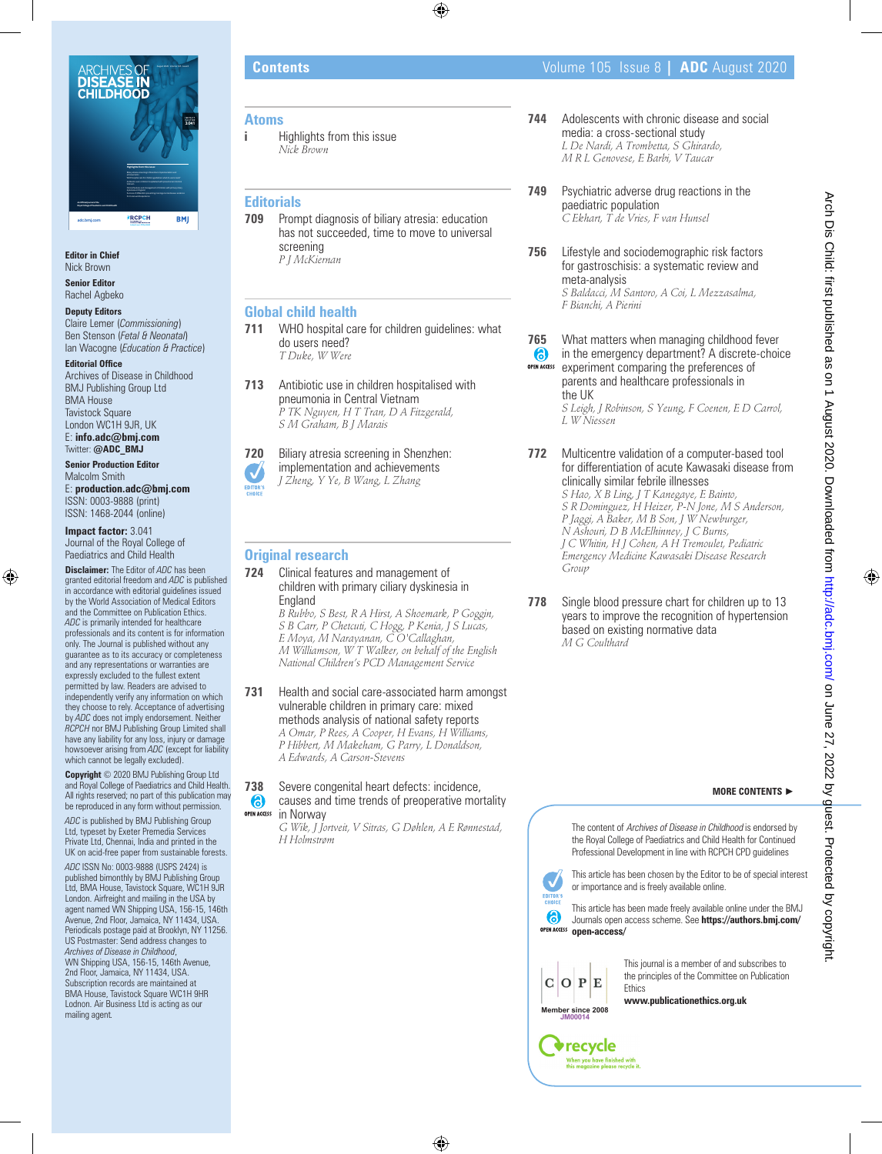

**Editor in Chief** Nick Brown

**Senior Editor** Rachel Agbeko

### **Deputy Editors** Claire Lemer (*Commissioning*) Ben Stenson (*Fetal & Neonatal*) Ian Wacogne (*Education & Practice*)

**Editorial Office** Archives of Disease in Childhood BMJ Publishing Group Ltd BMA House Tavistock Square London WC1H 9JR, UK E: **info.adc@bmj.com**

Twitter: **@ADC\_BMJ Senior Production Editor**

Malcolm Smith E: **production.adc@bmj.com** ISSN: 0003-9888 (print) ISSN: 1468-2044 (online)

**Impact factor:** 3.041 Journal of the Royal College of Paediatrics and Child Health

**Disclaimer:** The Editor of *ADC* has been granted editorial freedom and *ADC* is published in accordance with editorial guidelines issued by the World Association of Medical Editors and the Committee on Publication Ethics. *ADC* is primarily intended for healthcare professionals and its content is for information only. The Journal is published without any guarantee as to its accuracy or completeness and any representations or warranties are expressly excluded to the fullest extent permitted by law. Readers are advised to independently verify any information on which they choose to rely. Acceptance of advertising by *ADC* does not imply endorsement. Neither *RCPCH* nor BMJ Publishing Group Limited shall have any liability for any loss, injury or damage howsoever arising from *ADC* (except for liability which cannot be legally excluded).

**Copyright** © 2020 BMJ Publishing Group Ltd and Royal College of Paediatrics and Child Health. All rights reserved; no part of this publication may be reproduced in any form without permission.

*ADC* is published by BMJ Publishing Group Ltd, typeset by Exeter Premedia Services Private Ltd, Chennai, India and printed in the UK on acid-free paper from sustainable forests. *ADC* ISSN No: 0003-9888 (USPS 2424) is published bimonthly by BMJ Publishing Group Ltd, BMA House, Tavistock Square, WC1H 9JR London. Airfreight and mailing in the USA by agent named WN Shipping USA, 156-15, 146th Avenue, 2nd Floor, Jamaica, NY 11434, USA. Periodicals postage paid at Brooklyn, NY 11256. US Postmaster: Send address changes to *Archives of Disease in Childhood*, WN Shipping USA, 156-15, 146th Avenue, 2nd Floor, Jamaica, NY 11434, USA. Subscription records are maintained at BMA House, Tavistock Square WC1H 9HR

Lodnon. Air Business Ltd is acting as our mailing agent*.*

# **Atoms**

**i** Highlights from this issue *Nick Brown*

# **Editorials**

**709** Prompt diagnosis of biliary atresia: education has not succeeded, time to move to universal screening *P J McKiernan*

# **Global child health**

- **711** WHO hospital care for children guidelines: what do users need? *T Duke, W Were*
- **713** Antibiotic use in children hospitalised with pneumonia in Central Vietnam *P TK Nguyen, H T Tran, D A Fitzgerald, S M Graham, B J Marais*

**720** Biliary atresia screening in Shenzhen: implementation and achievements *J Zheng, Y Ye, B Wang, L Zhang* EDITOR'

# **Original research**

**724** Clinical features and management of children with primary ciliary dyskinesia in England *B Rubbo, S Best, R A Hirst, A Shoemark, P Goggin,* 

*S B Carr, P Chetcuti, C Hogg, P Kenia, J S Lucas, E Moya, M Narayanan, C O'Callaghan, M Williamson, W T Walker, on behalf of the English National Children's PCD Management Service*

**731** Health and social care-associated harm amongst vulnerable children in primary care: mixed methods analysis of national safety reports *A Omar, P Rees, A Cooper, H Evans, H Williams, P Hibbert, M Makeham, G Parry, L Donaldson,* 

*A Edwards, A Carson-Stevens*

#### **738** Severe congenital heart defects: incidence, causes and time trends of preoperative mortality **OPEN ACCESS** in Norway

*G Wik, J Jortveit, V Sitras, G Døhlen, A E Rønnestad, H Holmstrøm*

- **744** Adolescents with chronic disease and social media: a cross-sectional study *L De Nardi, A Trombetta, S Ghirardo, M R L Genovese, E Barbi, V Taucar*
- **749** Psychiatric adverse drug reactions in the paediatric population *C Ekhart, T de Vries, F van Hunsel*
- **756** Lifestyle and sociodemographic risk factors for gastroschisis: a systematic review and meta-analysis *S Baldacci, M Santoro, A Coi, L Mezzasalma, F Bianchi, A Pierini*
- **765** What matters when managing childhood fever 6 in the emergency department? A discrete-choice **OPEN ACCESS** experiment comparing the preferences of parents and healthcare professionals in the UK

*S Leigh, J Robinson, S Yeung, F Coenen, E D Carrol, L W Niessen*

- **772** Multicentre validation of a computer-based tool for differentiation of acute Kawasaki disease from clinically similar febrile illnesses *S Hao, X B Ling, J T Kanegaye, E Bainto, S R Dominguez, H Heizer, P-N Jone, M S Anderson, P Jaggi, A Baker, M B Son, J W Newburger, N Ashouri, D B McElhinney, J C Burns, J C Whitin, H J Cohen, A H Tremoulet, Pediatric Emergency Medicine Kawasaki Disease Research Group*
- **778** Single blood pressure chart for children up to 13 years to improve the recognition of hypertension based on existing normative data *M G Coulthard*

### **MORE CONTENTS** ►

The content of Archives of Disease in Childhood is endorsed by the Royal College of Paediatrics and Child Health for Continued Professional Development in line with RCPCH CPD guidelines

This article has been chosen by the Editor to be of special interest or importance and is freely available online.

This article has been made freely available online under the BMJ Journals open access scheme. See **https://authors.bmj.com/ open-access/**



This journal is a member of and subscribes to the principles of the Committee on Publication

**www.publicationethics.org.uk**

**JM00014**

Ñ EDITOR'S 6

 $\mathbf C$ 



Arch Dis Child: first published as on 1 August 2020. Downloaded from http://adc.bmj.com/ on June 27, 2022 by guest. Protected by copyright Arch Dis Child: first published as on 1 August 2020. Downloaded from <http://adc.bmj.com/> on June 27, 2022 by guest. Protected by copyright.